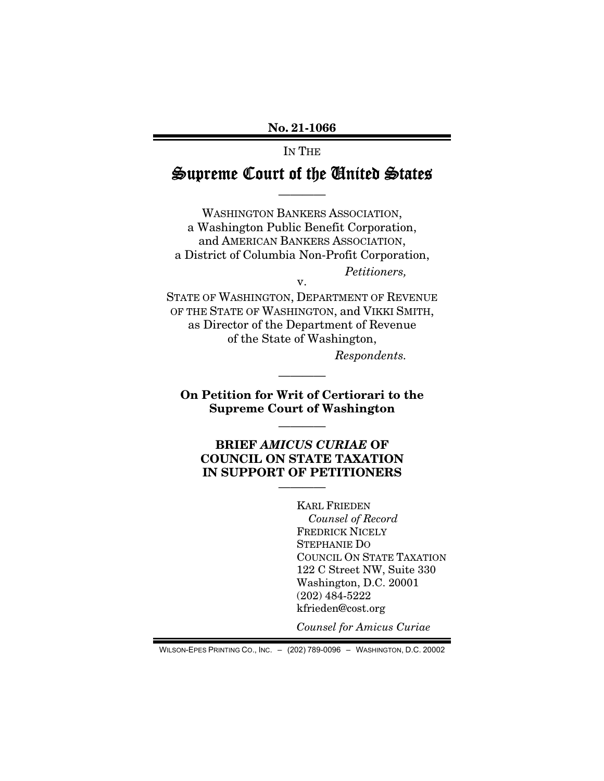No. 21-1066

IN THE

# Supreme Court of the United States

————

WASHINGTON BANKERS ASSOCIATION, a Washington Public Benefit Corporation, and AMERICAN BANKERS ASSOCIATION, a District of Columbia Non-Profit Corporation, *Petitioners,* 

v.

STATE OF WASHINGTON, DEPARTMENT OF REVENUE OF THE STATE OF WASHINGTON, and VIKKI SMITH, as Director of the Department of Revenue of the State of Washington, *Respondents.* 

On Petition for Writ of Certiorari to the Supreme Court of Washington

————

————

# BRIEF *AMICUS CURIAE* OF COUNCIL ON STATE TAXATION IN SUPPORT OF PETITIONERS

————

KARL FRIEDEN *Counsel of Record*  FREDRICK NICELY STEPHANIE DO COUNCIL ON STATE TAXATION 122 C Street NW, Suite 330 Washington, D.C. 20001 (202) 484-5222 kfrieden@cost.org

*Counsel for Amicus Curiae* 

WILSON-EPES PRINTING CO., INC. – (202) 789-0096 – WASHINGTON, D.C. 20002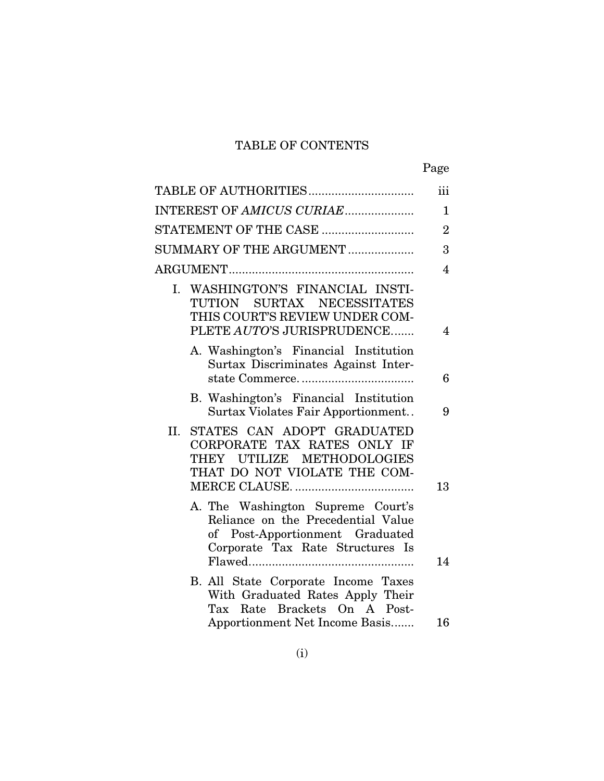# TABLE OF CONTENTS

| ×<br>۰, |
|---------|
|---------|

|     | TABLE OF AUTHORITIES                                                                                                                                | iii                     |
|-----|-----------------------------------------------------------------------------------------------------------------------------------------------------|-------------------------|
|     | INTEREST OF AMICUS CURIAE                                                                                                                           | $\mathbf 1$             |
|     | STATEMENT OF THE CASE                                                                                                                               | $\overline{2}$          |
|     | SUMMARY OF THE ARGUMENT                                                                                                                             | 3                       |
|     |                                                                                                                                                     | $\overline{4}$          |
|     | I. WASHINGTON'S FINANCIAL INSTI-<br>SURTAX NECESSITATES<br>TUTION<br>THIS COURT'S REVIEW UNDER COM-<br>PLETE AUTO'S JURISPRUDENCE                   | $\overline{\mathbf{4}}$ |
|     | A. Washington's Financial Institution<br>Surtax Discriminates Against Inter-                                                                        | 6                       |
|     | B. Washington's Financial Institution<br>Surtax Violates Fair Apportionment                                                                         | 9                       |
| II. | STATES CAN ADOPT GRADUATED<br>CORPORATE TAX RATES ONLY IF<br>THEY UTILIZE METHODOLOGIES<br>THAT DO NOT VIOLATE THE COM-                             | 13                      |
|     | A. The Washington Supreme Court's<br>Reliance on the Precedential Value<br>of Post-Apportionment Graduated<br>Corporate Tax Rate Structures Is      | 14                      |
|     | B. All State Corporate Income Taxes<br>With Graduated Rates Apply Their<br>Rate Brackets On A Post-<br>Tax<br><b>Apportionment Net Income Basis</b> | 16                      |
|     |                                                                                                                                                     |                         |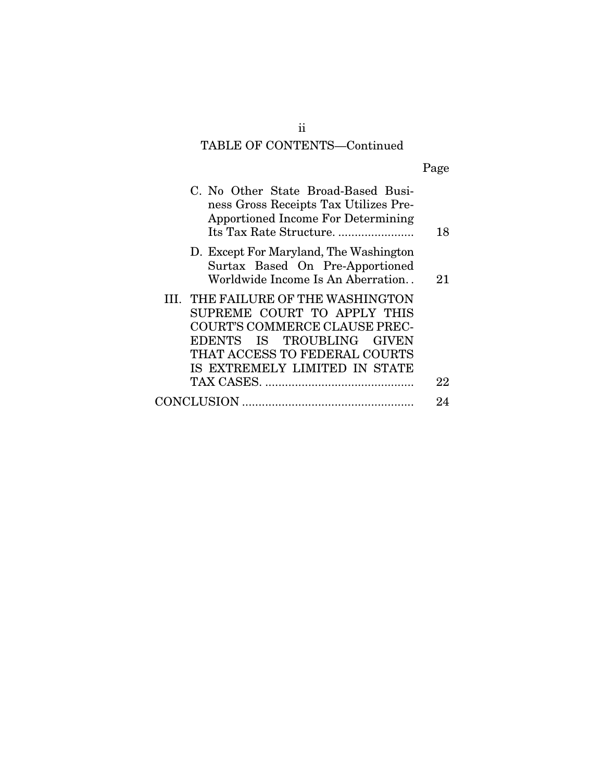# TABLE OF CONTENTS—Continued

| C. No Other State Broad-Based Busi-<br>ness Gross Receipts Tax Utilizes Pre-<br><b>Apportioned Income For Determining</b>                                                                         | 18 |
|---------------------------------------------------------------------------------------------------------------------------------------------------------------------------------------------------|----|
| D. Except For Maryland, The Washington<br>Surtax Based On Pre-Apportioned<br>Worldwide Income Is An Aberration                                                                                    | 21 |
| III. THE FAILURE OF THE WASHINGTON<br>SUPREME COURT TO APPLY THIS<br>COURT'S COMMERCE CLAUSE PREC-<br>EDENTS IS TROUBLING GIVEN<br>THAT ACCESS TO FEDERAL COURTS<br>IS EXTREMELY LIMITED IN STATE |    |
|                                                                                                                                                                                                   | 22 |
| <b>CONCLUSION</b>                                                                                                                                                                                 |    |

ii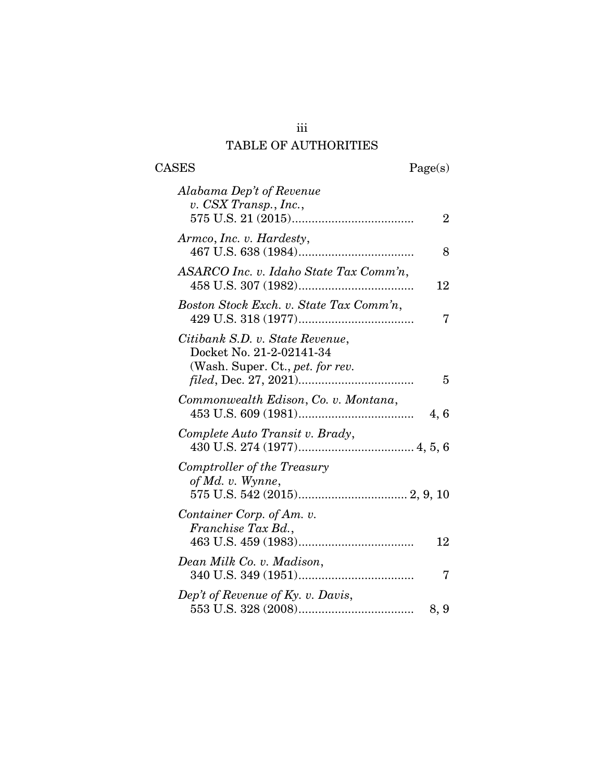# iii TABLE OF AUTHORITIES

 $\begin{tabular}{cc} \textbf{CASES} & \textbf{Page(s)}\\ \end{tabular}$ 

| Alabama Dep't of Revenue<br>v. CSX Transp., Inc.,<br>$\overline{2}$                                         |
|-------------------------------------------------------------------------------------------------------------|
| Armco, Inc. v. Hardesty,<br>8                                                                               |
| ASARCO Inc. v. Idaho State Tax Comm'n,<br>12                                                                |
| Boston Stock Exch. v. State Tax Comm'n,<br>7                                                                |
| Citibank S.D. v. State Revenue,<br>Docket No. 21-2-02141-34<br>(Wash. Super. Ct., <i>pet. for rev.</i><br>5 |
| Commonwealth Edison, Co. v. Montana,<br>4,6                                                                 |
| Complete Auto Transit v. Brady,                                                                             |
| Comptroller of the Treasury<br>of Md. v. Wynne,                                                             |
| Container Corp. of Am. v.<br>Franchise Tax Bd.,<br>12                                                       |
| Dean Milk Co. v. Madison,<br>7                                                                              |
| Dep't of Revenue of Ky. v. Davis,<br>8, 9                                                                   |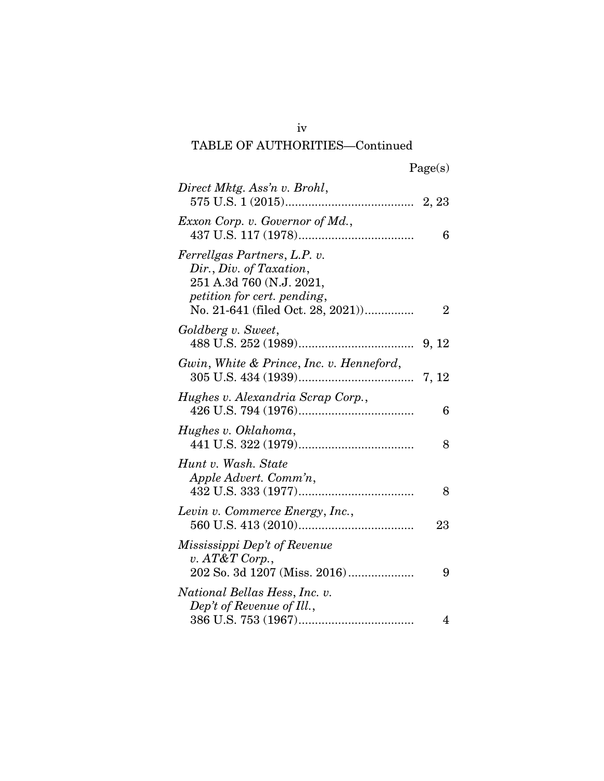iv

| Direct Mktg. Ass'n v. Brohl,                                                                                                                           |       |
|--------------------------------------------------------------------------------------------------------------------------------------------------------|-------|
| Exxon Corp. v. Governor of Md.,                                                                                                                        | 6     |
| Ferrellgas Partners, L.P. v.<br>Dir., Div. of Taxation,<br>251 A.3d 760 (N.J. 2021,<br>petition for cert. pending,<br>No. 21-641 (filed Oct. 28, 2021) | 2     |
| Goldberg v. Sweet,                                                                                                                                     |       |
| Gwin, White & Prince, Inc. v. Henneford,                                                                                                               | 7, 12 |
| Hughes v. Alexandria Scrap Corp.,                                                                                                                      | 6     |
| Hughes v. Oklahoma,                                                                                                                                    | 8     |
| Hunt v. Wash. State<br>Apple Advert. Comm'n,                                                                                                           | 8     |
| Levin v. Commerce Energy, Inc.,                                                                                                                        | 23    |
| Mississippi Dep't of Revenue<br>v. $AT\&T$ Corp.,<br>202 So. 3d 1207 (Miss. 2016)                                                                      | 9     |
| National Bellas Hess, Inc. v.<br>Dep't of Revenue of Ill.,                                                                                             | 4     |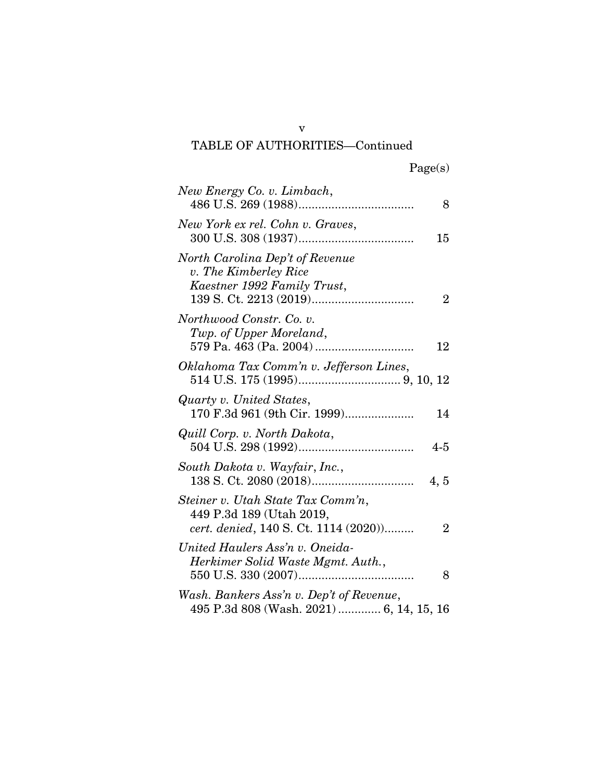v

| New Energy Co. v. Limbach,                                                                            | 8              |
|-------------------------------------------------------------------------------------------------------|----------------|
| New York ex rel. Cohn v. Graves,                                                                      | 15             |
| North Carolina Dep't of Revenue<br>v. The Kimberley Rice<br>Kaestner 1992 Family Trust,               | $\overline{2}$ |
| Northwood Constr. Co. v.<br>Twp. of Upper Moreland,                                                   | 12             |
| Oklahoma Tax Comm'n v. Jefferson Lines,                                                               |                |
| Quarty v. United States,<br>170 F.3d 961 (9th Cir. 1999)                                              | 14             |
| Quill Corp. v. North Dakota,                                                                          | $4 - 5$        |
| South Dakota v. Wayfair, Inc.,                                                                        | 4, 5           |
| Steiner v. Utah State Tax Comm'n,<br>449 P.3d 189 (Utah 2019,<br>cert. denied, 140 S. Ct. 1114 (2020) | $\overline{2}$ |
| United Haulers Ass'n v. Oneida-<br>Herkimer Solid Waste Mgmt. Auth.,                                  | 8              |
| Wash. Bankers Ass'n v. Dep't of Revenue,<br>495 P.3d 808 (Wash. 2021)  6, 14, 15, 16                  |                |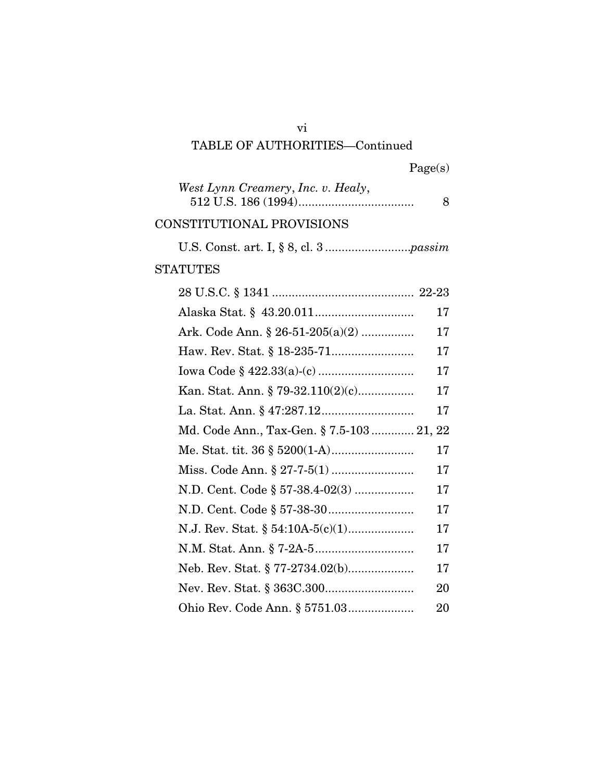| 'age(s) |
|---------|
|---------|

| West Lynn Creamery, Inc. v. Healy,        | 8 |
|-------------------------------------------|---|
| CONSTITUTIONAL PROVISIONS                 |   |
|                                           |   |
| <b>STATUTES</b>                           |   |
|                                           |   |
| 17                                        |   |
| Ark. Code Ann. $\S 26-51-205(a)(2)$<br>17 |   |
| 17                                        |   |
| 17                                        |   |
| 17                                        |   |
| 17                                        |   |
| Md. Code Ann., Tax-Gen. § 7.5-103 21, 22  |   |
| 17                                        |   |
| 17                                        |   |
| N.D. Cent. Code § 57-38.4-02(3)<br>17     |   |
| 17                                        |   |

N.J. Rev. Stat. § 54:10A-5(c)(1) .................... 17 N.M. Stat. Ann. § 7-2A-5 .............................. 17 Neb. Rev. Stat. § 77-2734.02(b).................... 17 Nev. Rev. Stat. § 363C.300........................... 20

Ohio Rev. Code Ann. § 5751.03 .................... 20

vi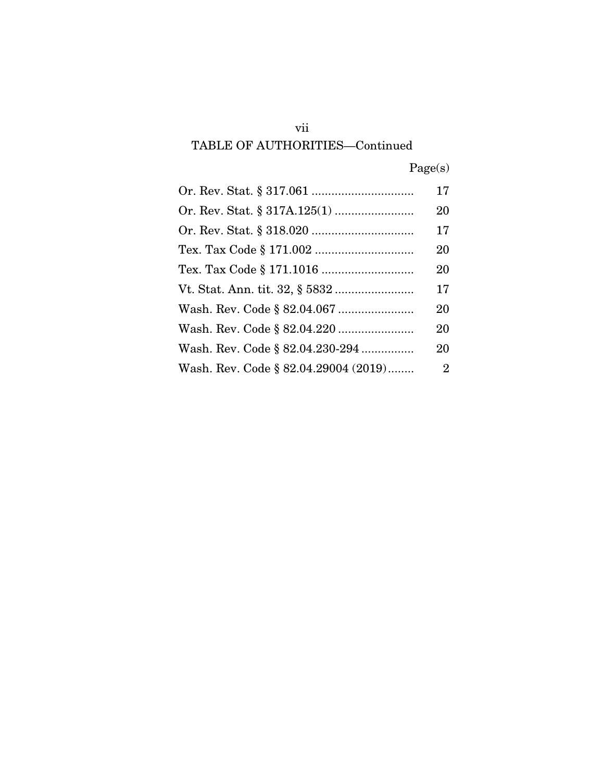|  | Page(s) |
|--|---------|
|  |         |

|                                      | 17 |
|--------------------------------------|----|
|                                      | 20 |
|                                      | 17 |
|                                      | 20 |
|                                      | 20 |
|                                      | 17 |
|                                      | 20 |
|                                      | 20 |
| Wash. Rev. Code § 82.04.230-294      | 20 |
| Wash. Rev. Code § 82.04.29004 (2019) | 2  |

vii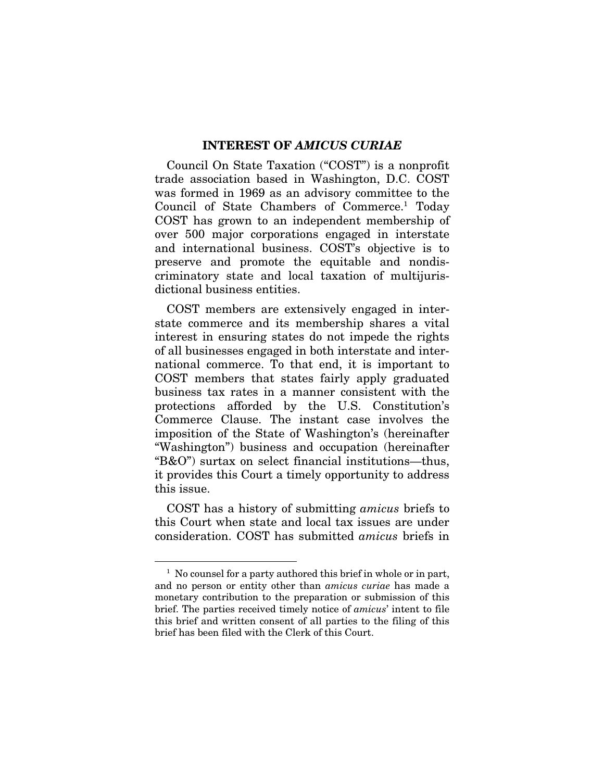#### INTEREST OF *AMICUS CURIAE*

Council On State Taxation ("COST") is a nonprofit trade association based in Washington, D.C. COST was formed in 1969 as an advisory committee to the Council of State Chambers of Commerce.<sup>1</sup> Today COST has grown to an independent membership of over 500 major corporations engaged in interstate and international business. COST's objective is to preserve and promote the equitable and nondiscriminatory state and local taxation of multijurisdictional business entities.

COST members are extensively engaged in interstate commerce and its membership shares a vital interest in ensuring states do not impede the rights of all businesses engaged in both interstate and international commerce. To that end, it is important to COST members that states fairly apply graduated business tax rates in a manner consistent with the protections afforded by the U.S. Constitution's Commerce Clause. The instant case involves the imposition of the State of Washington's (hereinafter "Washington") business and occupation (hereinafter "B&O") surtax on select financial institutions—thus, it provides this Court a timely opportunity to address this issue.

COST has a history of submitting *amicus* briefs to this Court when state and local tax issues are under consideration. COST has submitted *amicus* briefs in

<sup>&</sup>lt;sup>1</sup> No counsel for a party authored this brief in whole or in part, and no person or entity other than *amicus curiae* has made a monetary contribution to the preparation or submission of this brief. The parties received timely notice of *amicus*' intent to file this brief and written consent of all parties to the filing of this brief has been filed with the Clerk of this Court.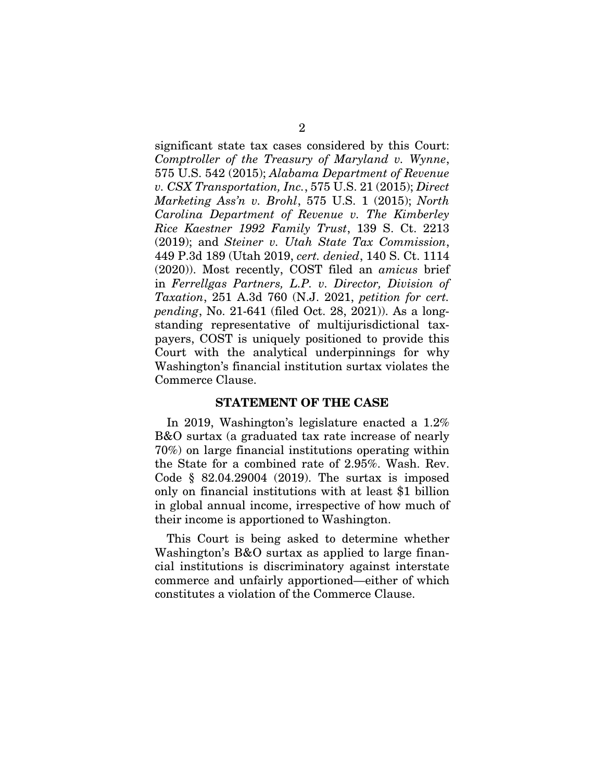significant state tax cases considered by this Court: *Comptroller of the Treasury of Maryland v. Wynne*, 575 U.S. 542 (2015); *Alabama Department of Revenue v. CSX Transportation, Inc.*, 575 U.S. 21 (2015); *Direct Marketing Ass'n v. Brohl*, 575 U.S. 1 (2015); *North Carolina Department of Revenue v. The Kimberley Rice Kaestner 1992 Family Trust*, 139 S. Ct. 2213 (2019); and *Steiner v. Utah State Tax Commission*, 449 P.3d 189 (Utah 2019, *cert. denied*, 140 S. Ct. 1114 (2020)). Most recently, COST filed an *amicus* brief in *Ferrellgas Partners, L.P. v. Director, Division of Taxation*, 251 A.3d 760 (N.J. 2021, *petition for cert. pending*, No. 21-641 (filed Oct. 28, 2021)). As a longstanding representative of multijurisdictional taxpayers, COST is uniquely positioned to provide this Court with the analytical underpinnings for why Washington's financial institution surtax violates the Commerce Clause.

#### STATEMENT OF THE CASE

In 2019, Washington's legislature enacted a 1.2% B&O surtax (a graduated tax rate increase of nearly 70%) on large financial institutions operating within the State for a combined rate of 2.95%. Wash. Rev. Code § 82.04.29004 (2019). The surtax is imposed only on financial institutions with at least \$1 billion in global annual income, irrespective of how much of their income is apportioned to Washington.

This Court is being asked to determine whether Washington's B&O surtax as applied to large financial institutions is discriminatory against interstate commerce and unfairly apportioned—either of which constitutes a violation of the Commerce Clause.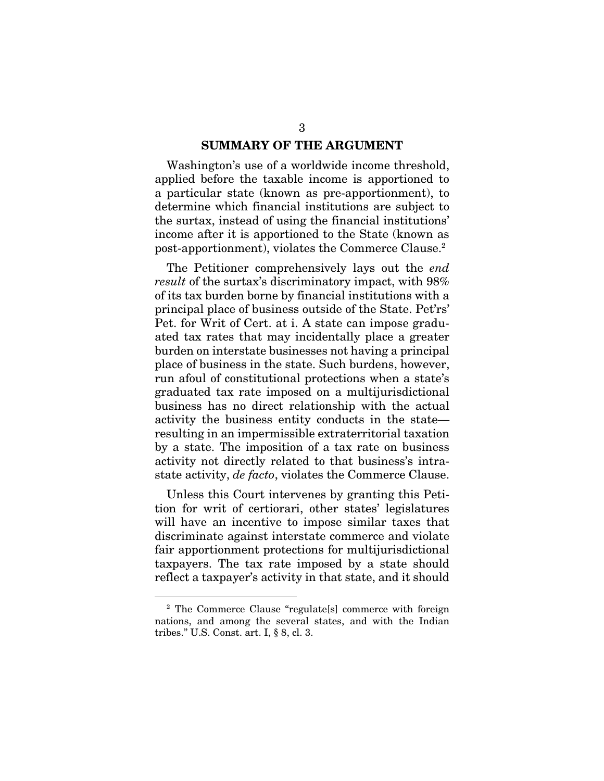### SUMMARY OF THE ARGUMENT

Washington's use of a worldwide income threshold, applied before the taxable income is apportioned to a particular state (known as pre-apportionment), to determine which financial institutions are subject to the surtax, instead of using the financial institutions' income after it is apportioned to the State (known as post-apportionment), violates the Commerce Clause.2

The Petitioner comprehensively lays out the *end result* of the surtax's discriminatory impact, with 98% of its tax burden borne by financial institutions with a principal place of business outside of the State. Pet'rs' Pet. for Writ of Cert. at i. A state can impose graduated tax rates that may incidentally place a greater burden on interstate businesses not having a principal place of business in the state. Such burdens, however, run afoul of constitutional protections when a state's graduated tax rate imposed on a multijurisdictional business has no direct relationship with the actual activity the business entity conducts in the state resulting in an impermissible extraterritorial taxation by a state. The imposition of a tax rate on business activity not directly related to that business's intrastate activity, *de facto*, violates the Commerce Clause.

Unless this Court intervenes by granting this Petition for writ of certiorari, other states' legislatures will have an incentive to impose similar taxes that discriminate against interstate commerce and violate fair apportionment protections for multijurisdictional taxpayers. The tax rate imposed by a state should reflect a taxpayer's activity in that state, and it should

<sup>2</sup> The Commerce Clause "regulate[s] commerce with foreign nations, and among the several states, and with the Indian tribes." U.S. Const. art. I, § 8, cl. 3.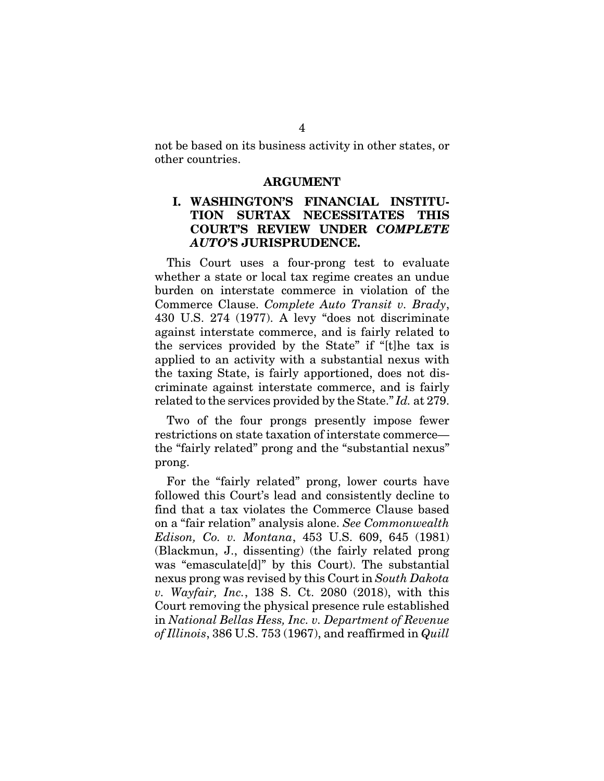not be based on its business activity in other states, or other countries.

#### ARGUMENT

### I. WASHINGTON'S FINANCIAL INSTITU-TION SURTAX NECESSITATES THIS COURT'S REVIEW UNDER *COMPLETE AUTO*'S JURISPRUDENCE.

This Court uses a four-prong test to evaluate whether a state or local tax regime creates an undue burden on interstate commerce in violation of the Commerce Clause. *Complete Auto Transit v. Brady*, 430 U.S. 274 (1977). A levy "does not discriminate against interstate commerce, and is fairly related to the services provided by the State" if "[t]he tax is applied to an activity with a substantial nexus with the taxing State, is fairly apportioned, does not discriminate against interstate commerce, and is fairly related to the services provided by the State." *Id.* at 279.

Two of the four prongs presently impose fewer restrictions on state taxation of interstate commerce the "fairly related" prong and the "substantial nexus" prong.

For the "fairly related" prong, lower courts have followed this Court's lead and consistently decline to find that a tax violates the Commerce Clause based on a "fair relation" analysis alone. *See Commonwealth Edison, Co. v. Montana*, 453 U.S. 609, 645 (1981) (Blackmun, J., dissenting) (the fairly related prong was "emasculate[d]" by this Court). The substantial nexus prong was revised by this Court in *South Dakota v. Wayfair, Inc.*, 138 S. Ct. 2080 (2018), with this Court removing the physical presence rule established in *National Bellas Hess, Inc. v. Department of Revenue of Illinois*, 386 U.S. 753 (1967), and reaffirmed in *Quill*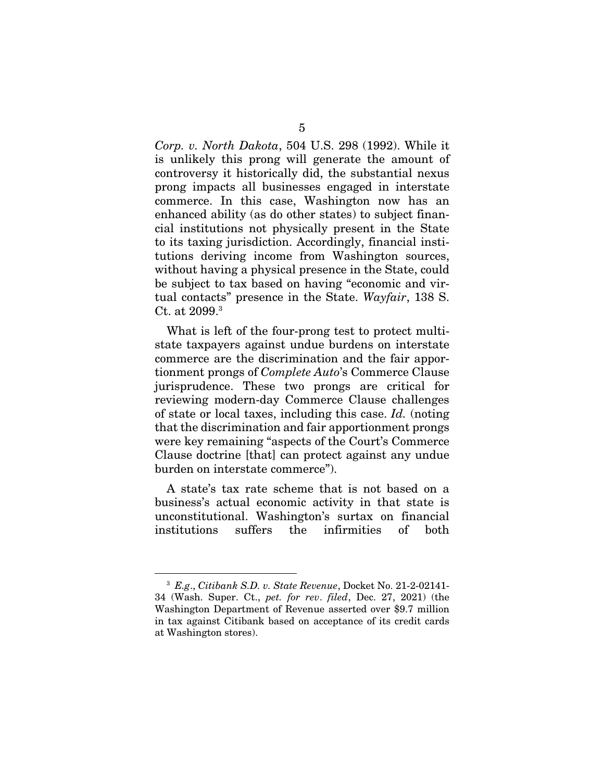*Corp. v. North Dakota*, 504 U.S. 298 (1992). While it is unlikely this prong will generate the amount of controversy it historically did, the substantial nexus prong impacts all businesses engaged in interstate commerce. In this case, Washington now has an enhanced ability (as do other states) to subject financial institutions not physically present in the State to its taxing jurisdiction. Accordingly, financial institutions deriving income from Washington sources, without having a physical presence in the State, could be subject to tax based on having "economic and virtual contacts" presence in the State. *Wayfair*, 138 S. Ct. at 2099.3

What is left of the four-prong test to protect multistate taxpayers against undue burdens on interstate commerce are the discrimination and the fair apportionment prongs of *Complete Auto*'s Commerce Clause jurisprudence. These two prongs are critical for reviewing modern-day Commerce Clause challenges of state or local taxes, including this case. *Id.* (noting that the discrimination and fair apportionment prongs were key remaining "aspects of the Court's Commerce Clause doctrine [that] can protect against any undue burden on interstate commerce").

A state's tax rate scheme that is not based on a business's actual economic activity in that state is unconstitutional. Washington's surtax on financial institutions suffers the infirmities of both

<sup>3</sup> *E.g*., *Citibank S.D. v. State Revenue*, Docket No. 21-2-02141- 34 (Wash. Super. Ct., *pet. for rev*. *filed*, Dec. 27, 2021) (the Washington Department of Revenue asserted over \$9.7 million in tax against Citibank based on acceptance of its credit cards at Washington stores).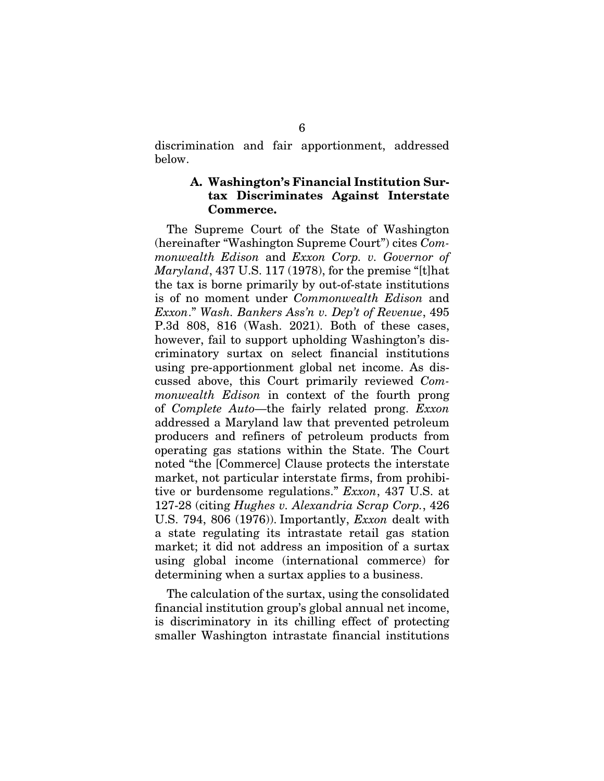discrimination and fair apportionment, addressed below.

### A. Washington's Financial Institution Surtax Discriminates Against Interstate Commerce.

The Supreme Court of the State of Washington (hereinafter "Washington Supreme Court") cites *Commonwealth Edison* and *Exxon Corp. v. Governor of Maryland*, 437 U.S. 117 (1978), for the premise "[t]hat the tax is borne primarily by out-of-state institutions is of no moment under *Commonwealth Edison* and *Exxon*." *Wash. Bankers Ass'n v. Dep't of Revenue*, 495 P.3d 808, 816 (Wash. 2021). Both of these cases, however, fail to support upholding Washington's discriminatory surtax on select financial institutions using pre-apportionment global net income. As discussed above, this Court primarily reviewed *Commonwealth Edison* in context of the fourth prong of *Complete Auto*—the fairly related prong. *Exxon* addressed a Maryland law that prevented petroleum producers and refiners of petroleum products from operating gas stations within the State. The Court noted "the [Commerce] Clause protects the interstate market, not particular interstate firms, from prohibitive or burdensome regulations." *Exxon*, 437 U.S. at 127-28 (citing *Hughes v. Alexandria Scrap Corp.*, 426 U.S. 794, 806 (1976)). Importantly, *Exxon* dealt with a state regulating its intrastate retail gas station market; it did not address an imposition of a surtax using global income (international commerce) for determining when a surtax applies to a business.

The calculation of the surtax, using the consolidated financial institution group's global annual net income, is discriminatory in its chilling effect of protecting smaller Washington intrastate financial institutions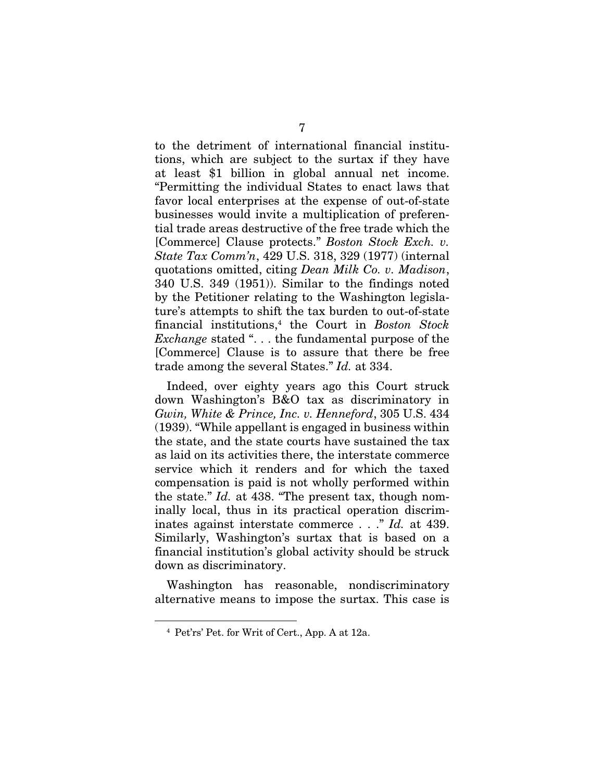to the detriment of international financial institutions, which are subject to the surtax if they have at least \$1 billion in global annual net income. "Permitting the individual States to enact laws that favor local enterprises at the expense of out-of-state businesses would invite a multiplication of preferential trade areas destructive of the free trade which the [Commerce] Clause protects." *Boston Stock Exch. v. State Tax Comm'n*, 429 U.S. 318, 329 (1977) (internal quotations omitted, citing *Dean Milk Co. v. Madison*, 340 U.S. 349 (1951)). Similar to the findings noted by the Petitioner relating to the Washington legislature's attempts to shift the tax burden to out-of-state financial institutions,4 the Court in *Boston Stock Exchange* stated ". . . the fundamental purpose of the [Commerce] Clause is to assure that there be free trade among the several States." *Id.* at 334.

Indeed, over eighty years ago this Court struck down Washington's B&O tax as discriminatory in *Gwin, White & Prince, Inc. v. Henneford*, 305 U.S. 434 (1939). "While appellant is engaged in business within the state, and the state courts have sustained the tax as laid on its activities there, the interstate commerce service which it renders and for which the taxed compensation is paid is not wholly performed within the state." *Id.* at 438. "The present tax, though nominally local, thus in its practical operation discriminates against interstate commerce . . ." *Id.* at 439. Similarly, Washington's surtax that is based on a financial institution's global activity should be struck down as discriminatory.

Washington has reasonable, nondiscriminatory alternative means to impose the surtax. This case is

<sup>4</sup> Pet'rs' Pet. for Writ of Cert., App. A at 12a.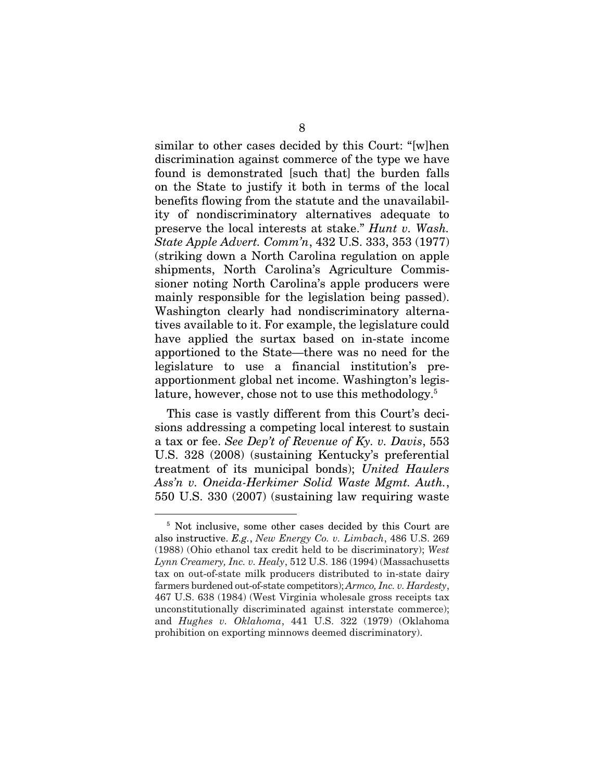similar to other cases decided by this Court: "[w]hen discrimination against commerce of the type we have found is demonstrated [such that] the burden falls on the State to justify it both in terms of the local benefits flowing from the statute and the unavailability of nondiscriminatory alternatives adequate to preserve the local interests at stake." *Hunt v. Wash. State Apple Advert. Comm'n*, 432 U.S. 333, 353 (1977) (striking down a North Carolina regulation on apple shipments, North Carolina's Agriculture Commissioner noting North Carolina's apple producers were mainly responsible for the legislation being passed). Washington clearly had nondiscriminatory alternatives available to it. For example, the legislature could have applied the surtax based on in-state income apportioned to the State—there was no need for the legislature to use a financial institution's preapportionment global net income. Washington's legislature, however, chose not to use this methodology.<sup>5</sup>

This case is vastly different from this Court's decisions addressing a competing local interest to sustain a tax or fee. *See Dep't of Revenue of Ky. v. Davis*, 553 U.S. 328 (2008) (sustaining Kentucky's preferential treatment of its municipal bonds); *United Haulers Ass'n v. Oneida-Herkimer Solid Waste Mgmt. Auth.*, 550 U.S. 330 (2007) (sustaining law requiring waste

<sup>5</sup> Not inclusive, some other cases decided by this Court are also instructive. *E.g.*, *New Energy Co. v. Limbach*, 486 U.S. 269 (1988) (Ohio ethanol tax credit held to be discriminatory); *West Lynn Creamery, Inc. v. Healy*, 512 U.S. 186 (1994) (Massachusetts tax on out-of-state milk producers distributed to in-state dairy farmers burdened out-of-state competitors); *Armco, Inc. v. Hardesty*, 467 U.S. 638 (1984) (West Virginia wholesale gross receipts tax unconstitutionally discriminated against interstate commerce); and *Hughes v. Oklahoma*, 441 U.S. 322 (1979) (Oklahoma prohibition on exporting minnows deemed discriminatory).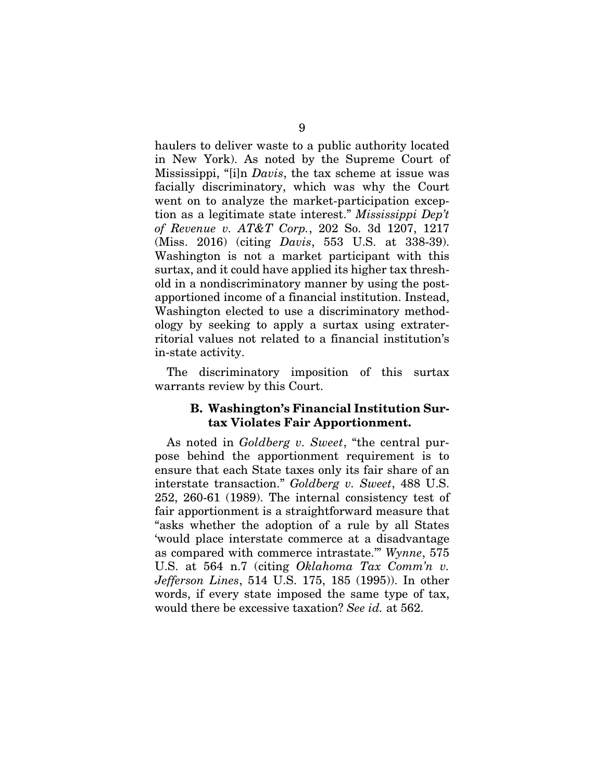haulers to deliver waste to a public authority located in New York). As noted by the Supreme Court of Mississippi, "[i]n *Davis*, the tax scheme at issue was facially discriminatory, which was why the Court went on to analyze the market-participation exception as a legitimate state interest." *Mississippi Dep't of Revenue v. AT&T Corp.*, 202 So. 3d 1207, 1217 (Miss. 2016) (citing *Davis*, 553 U.S. at 338-39). Washington is not a market participant with this surtax, and it could have applied its higher tax threshold in a nondiscriminatory manner by using the postapportioned income of a financial institution. Instead, Washington elected to use a discriminatory methodology by seeking to apply a surtax using extraterritorial values not related to a financial institution's in-state activity.

The discriminatory imposition of this surtax warrants review by this Court.

### B. Washington's Financial Institution Surtax Violates Fair Apportionment.

As noted in *Goldberg v. Sweet*, "the central purpose behind the apportionment requirement is to ensure that each State taxes only its fair share of an interstate transaction." *Goldberg v. Sweet*, 488 U.S. 252, 260-61 (1989). The internal consistency test of fair apportionment is a straightforward measure that "asks whether the adoption of a rule by all States 'would place interstate commerce at a disadvantage as compared with commerce intrastate.'" *Wynne*, 575 U.S. at 564 n.7 (citing *Oklahoma Tax Comm'n v. Jefferson Lines*, 514 U.S. 175, 185 (1995)). In other words, if every state imposed the same type of tax, would there be excessive taxation? *See id.* at 562.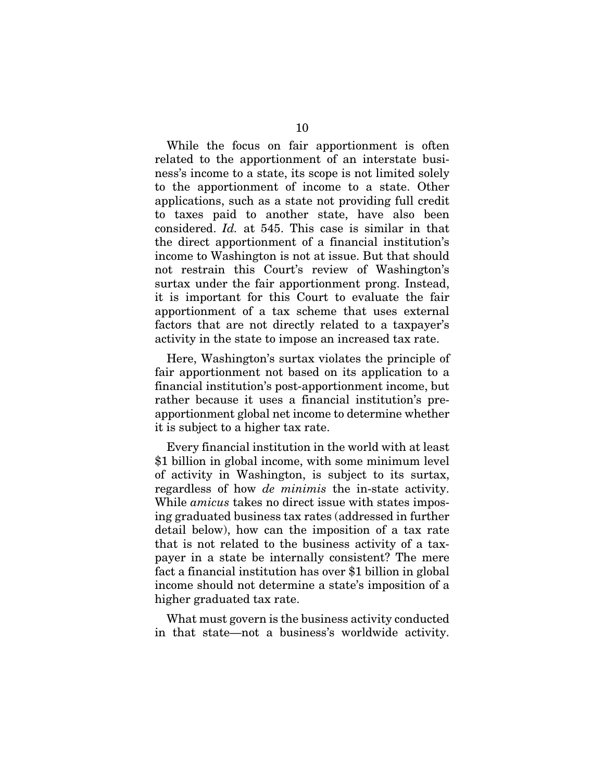While the focus on fair apportionment is often related to the apportionment of an interstate business's income to a state, its scope is not limited solely to the apportionment of income to a state. Other applications, such as a state not providing full credit to taxes paid to another state, have also been considered. *Id.* at 545. This case is similar in that the direct apportionment of a financial institution's income to Washington is not at issue. But that should not restrain this Court's review of Washington's surtax under the fair apportionment prong. Instead, it is important for this Court to evaluate the fair apportionment of a tax scheme that uses external factors that are not directly related to a taxpayer's activity in the state to impose an increased tax rate.

Here, Washington's surtax violates the principle of fair apportionment not based on its application to a financial institution's post-apportionment income, but rather because it uses a financial institution's preapportionment global net income to determine whether it is subject to a higher tax rate.

Every financial institution in the world with at least \$1 billion in global income, with some minimum level of activity in Washington, is subject to its surtax, regardless of how *de minimis* the in-state activity. While *amicus* takes no direct issue with states imposing graduated business tax rates (addressed in further detail below), how can the imposition of a tax rate that is not related to the business activity of a taxpayer in a state be internally consistent? The mere fact a financial institution has over \$1 billion in global income should not determine a state's imposition of a higher graduated tax rate.

What must govern is the business activity conducted in that state—not a business's worldwide activity.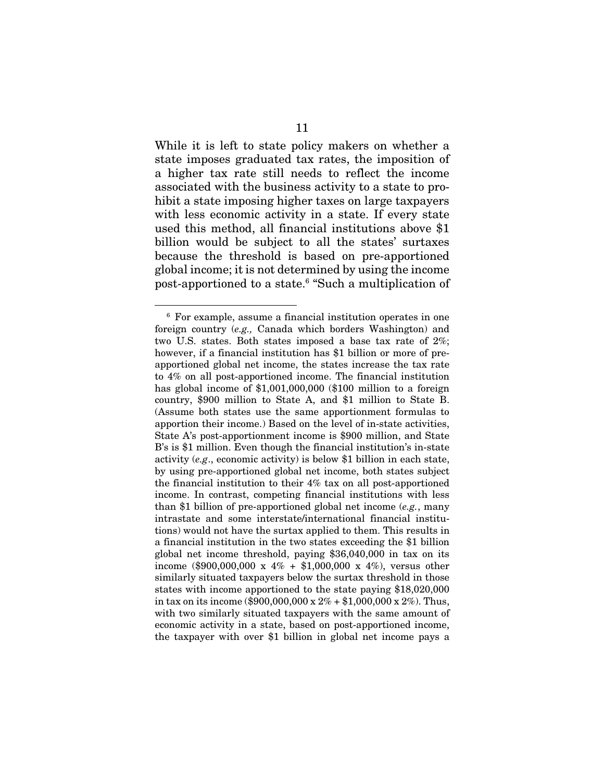While it is left to state policy makers on whether a state imposes graduated tax rates, the imposition of a higher tax rate still needs to reflect the income associated with the business activity to a state to prohibit a state imposing higher taxes on large taxpayers with less economic activity in a state. If every state used this method, all financial institutions above \$1 billion would be subject to all the states' surtaxes because the threshold is based on pre-apportioned global income; it is not determined by using the income post-apportioned to a state.<sup>6</sup> "Such a multiplication of

<sup>6</sup> For example, assume a financial institution operates in one foreign country (*e.g.,* Canada which borders Washington) and two U.S. states. Both states imposed a base tax rate of 2%; however, if a financial institution has \$1 billion or more of preapportioned global net income, the states increase the tax rate to 4% on all post-apportioned income. The financial institution has global income of \$1,001,000,000 (\$100 million to a foreign country, \$900 million to State A, and \$1 million to State B. (Assume both states use the same apportionment formulas to apportion their income.) Based on the level of in-state activities, State A's post-apportionment income is \$900 million, and State B's is \$1 million. Even though the financial institution's in-state activity (*e.g*., economic activity) is below \$1 billion in each state, by using pre-apportioned global net income, both states subject the financial institution to their 4% tax on all post-apportioned income. In contrast, competing financial institutions with less than \$1 billion of pre-apportioned global net income (*e.g.*, many intrastate and some interstate/international financial institutions) would not have the surtax applied to them. This results in a financial institution in the two states exceeding the \$1 billion global net income threshold, paying \$36,040,000 in tax on its income (\$900,000,000 x  $4\%$  + \$1,000,000 x  $4\%$ ), versus other similarly situated taxpayers below the surtax threshold in those states with income apportioned to the state paying \$18,020,000 in tax on its income (\$900,000,000 x  $2\%$  + \$1,000,000 x  $2\%$ ). Thus, with two similarly situated taxpayers with the same amount of economic activity in a state, based on post-apportioned income, the taxpayer with over \$1 billion in global net income pays a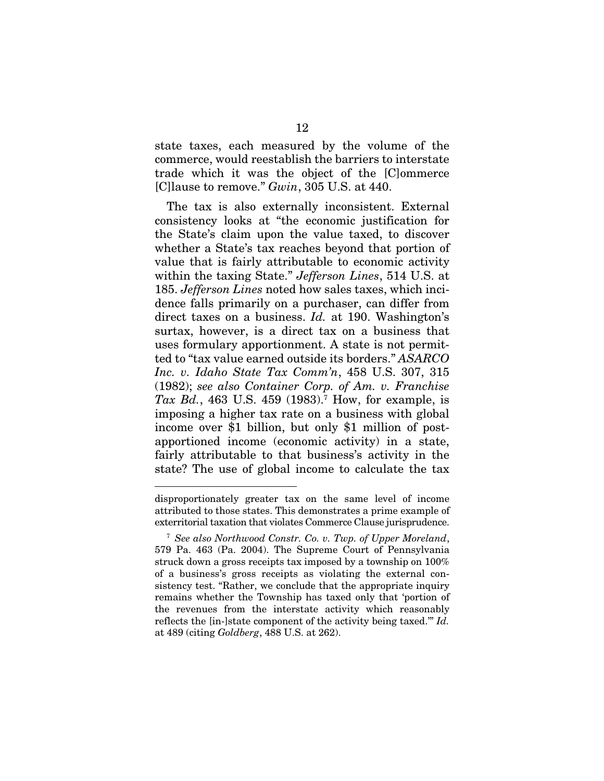state taxes, each measured by the volume of the commerce, would reestablish the barriers to interstate trade which it was the object of the [C]ommerce [C]lause to remove." *Gwin*, 305 U.S. at 440.

The tax is also externally inconsistent. External consistency looks at "the economic justification for the State's claim upon the value taxed, to discover whether a State's tax reaches beyond that portion of value that is fairly attributable to economic activity within the taxing State." *Jefferson Lines*, 514 U.S. at 185. *Jefferson Lines* noted how sales taxes, which incidence falls primarily on a purchaser, can differ from direct taxes on a business. *Id.* at 190. Washington's surtax, however, is a direct tax on a business that uses formulary apportionment. A state is not permitted to "tax value earned outside its borders." *ASARCO Inc. v. Idaho State Tax Comm'n*, 458 U.S. 307, 315 (1982); *see also Container Corp. of Am. v. Franchise Tax Bd.*, 463 U.S. 459 (1983).7 How, for example, is imposing a higher tax rate on a business with global income over \$1 billion, but only \$1 million of postapportioned income (economic activity) in a state, fairly attributable to that business's activity in the state? The use of global income to calculate the tax

disproportionately greater tax on the same level of income attributed to those states. This demonstrates a prime example of exterritorial taxation that violates Commerce Clause jurisprudence.

<sup>7</sup> *See also Northwood Constr. Co. v. Twp. of Upper Moreland*, 579 Pa. 463 (Pa. 2004). The Supreme Court of Pennsylvania struck down a gross receipts tax imposed by a township on 100% of a business's gross receipts as violating the external consistency test. "Rather, we conclude that the appropriate inquiry remains whether the Township has taxed only that 'portion of the revenues from the interstate activity which reasonably reflects the [in-]state component of the activity being taxed.'" *Id.* at 489 (citing *Goldberg*, 488 U.S. at 262).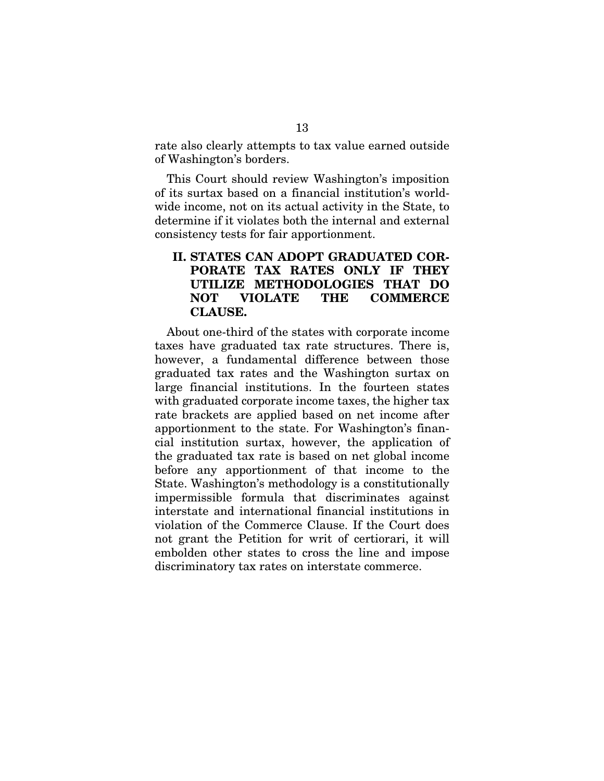rate also clearly attempts to tax value earned outside of Washington's borders.

This Court should review Washington's imposition of its surtax based on a financial institution's worldwide income, not on its actual activity in the State, to determine if it violates both the internal and external consistency tests for fair apportionment.

# II. STATES CAN ADOPT GRADUATED COR-PORATE TAX RATES ONLY IF THEY UTILIZE METHODOLOGIES THAT DO NOT VIOLATE THE COMMERCE CLAUSE.

About one-third of the states with corporate income taxes have graduated tax rate structures. There is, however, a fundamental difference between those graduated tax rates and the Washington surtax on large financial institutions. In the fourteen states with graduated corporate income taxes, the higher tax rate brackets are applied based on net income after apportionment to the state. For Washington's financial institution surtax, however, the application of the graduated tax rate is based on net global income before any apportionment of that income to the State. Washington's methodology is a constitutionally impermissible formula that discriminates against interstate and international financial institutions in violation of the Commerce Clause. If the Court does not grant the Petition for writ of certiorari, it will embolden other states to cross the line and impose discriminatory tax rates on interstate commerce.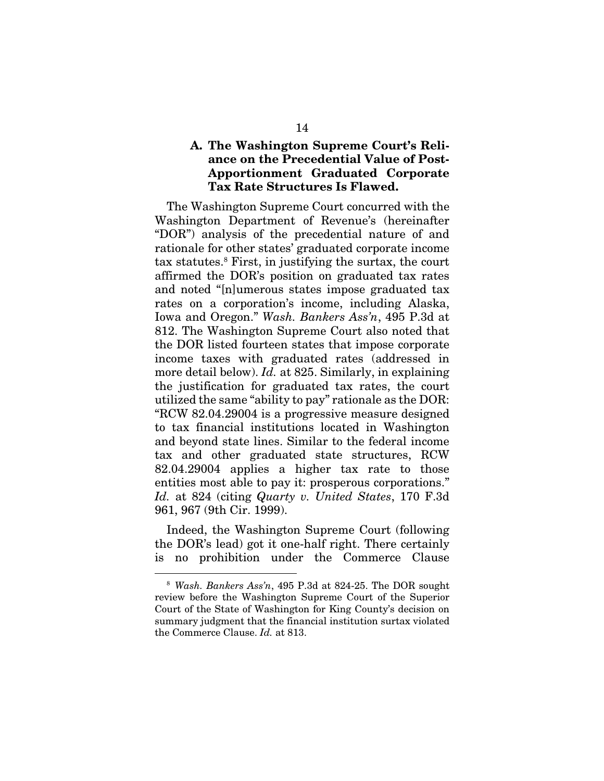# A. The Washington Supreme Court's Reliance on the Precedential Value of Post-Apportionment Graduated Corporate Tax Rate Structures Is Flawed.

The Washington Supreme Court concurred with the Washington Department of Revenue's (hereinafter "DOR") analysis of the precedential nature of and rationale for other states' graduated corporate income tax statutes.8 First, in justifying the surtax, the court affirmed the DOR's position on graduated tax rates and noted "[n]umerous states impose graduated tax rates on a corporation's income, including Alaska, Iowa and Oregon." *Wash. Bankers Ass'n*, 495 P.3d at 812. The Washington Supreme Court also noted that the DOR listed fourteen states that impose corporate income taxes with graduated rates (addressed in more detail below). *Id.* at 825. Similarly, in explaining the justification for graduated tax rates, the court utilized the same "ability to pay" rationale as the DOR: "RCW 82.04.29004 is a progressive measure designed to tax financial institutions located in Washington and beyond state lines. Similar to the federal income tax and other graduated state structures, RCW 82.04.29004 applies a higher tax rate to those entities most able to pay it: prosperous corporations." *Id.* at 824 (citing *Quarty v. United States*, 170 F.3d 961, 967 (9th Cir. 1999).

Indeed, the Washington Supreme Court (following the DOR's lead) got it one-half right. There certainly is no prohibition under the Commerce Clause

<sup>8</sup> *Wash. Bankers Ass'n*, 495 P.3d at 824-25. The DOR sought review before the Washington Supreme Court of the Superior Court of the State of Washington for King County's decision on summary judgment that the financial institution surtax violated the Commerce Clause. *Id.* at 813.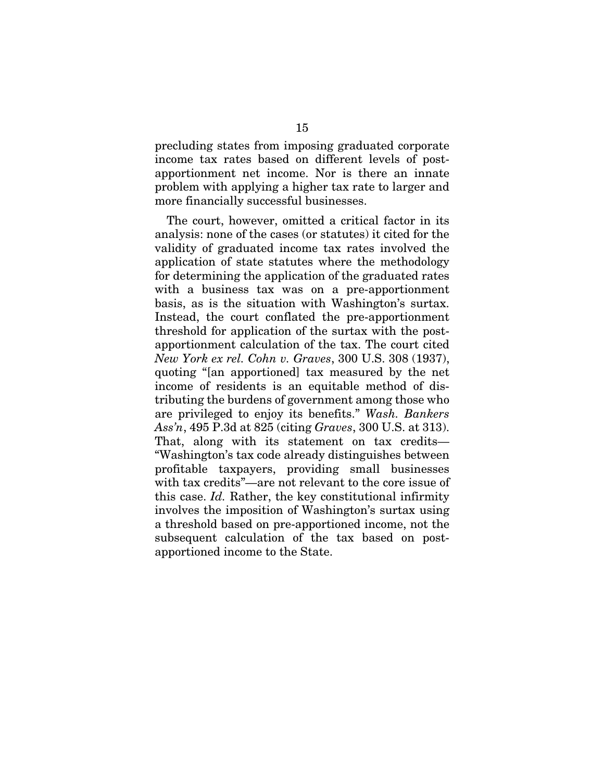precluding states from imposing graduated corporate income tax rates based on different levels of postapportionment net income. Nor is there an innate problem with applying a higher tax rate to larger and more financially successful businesses.

The court, however, omitted a critical factor in its analysis: none of the cases (or statutes) it cited for the validity of graduated income tax rates involved the application of state statutes where the methodology for determining the application of the graduated rates with a business tax was on a pre-apportionment basis, as is the situation with Washington's surtax. Instead, the court conflated the pre-apportionment threshold for application of the surtax with the postapportionment calculation of the tax. The court cited *New York ex rel. Cohn v. Graves*, 300 U.S. 308 (1937), quoting "[an apportioned] tax measured by the net income of residents is an equitable method of distributing the burdens of government among those who are privileged to enjoy its benefits." *Wash. Bankers Ass'n*, 495 P.3d at 825 (citing *Graves*, 300 U.S. at 313). That, along with its statement on tax credits— "Washington's tax code already distinguishes between profitable taxpayers, providing small businesses with tax credits"—are not relevant to the core issue of this case. *Id.* Rather, the key constitutional infirmity involves the imposition of Washington's surtax using a threshold based on pre-apportioned income, not the subsequent calculation of the tax based on postapportioned income to the State.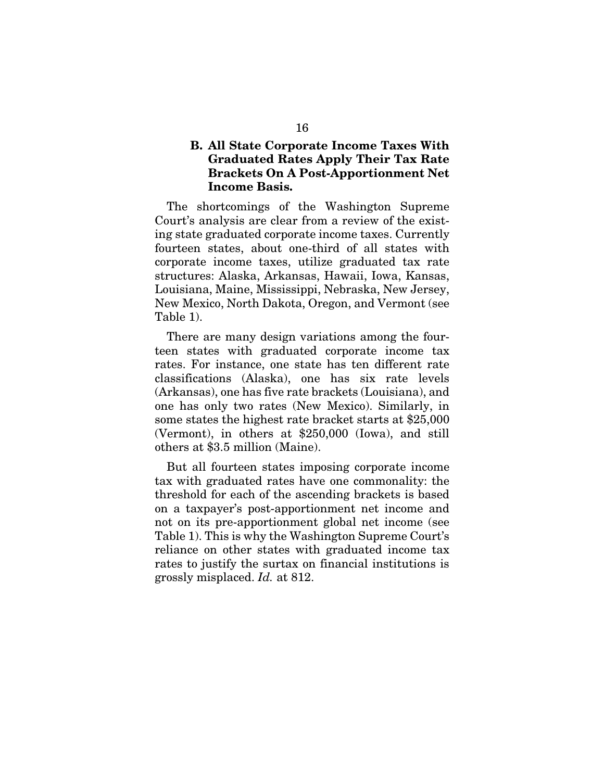# B. All State Corporate Income Taxes With Graduated Rates Apply Their Tax Rate Brackets On A Post-Apportionment Net Income Basis.

The shortcomings of the Washington Supreme Court's analysis are clear from a review of the existing state graduated corporate income taxes. Currently fourteen states, about one-third of all states with corporate income taxes, utilize graduated tax rate structures: Alaska, Arkansas, Hawaii, Iowa, Kansas, Louisiana, Maine, Mississippi, Nebraska, New Jersey, New Mexico, North Dakota, Oregon, and Vermont (see Table 1).

There are many design variations among the fourteen states with graduated corporate income tax rates. For instance, one state has ten different rate classifications (Alaska), one has six rate levels (Arkansas), one has five rate brackets (Louisiana), and one has only two rates (New Mexico). Similarly, in some states the highest rate bracket starts at \$25,000 (Vermont), in others at \$250,000 (Iowa), and still others at \$3.5 million (Maine).

But all fourteen states imposing corporate income tax with graduated rates have one commonality: the threshold for each of the ascending brackets is based on a taxpayer's post-apportionment net income and not on its pre-apportionment global net income (see Table 1). This is why the Washington Supreme Court's reliance on other states with graduated income tax rates to justify the surtax on financial institutions is grossly misplaced. *Id.* at 812.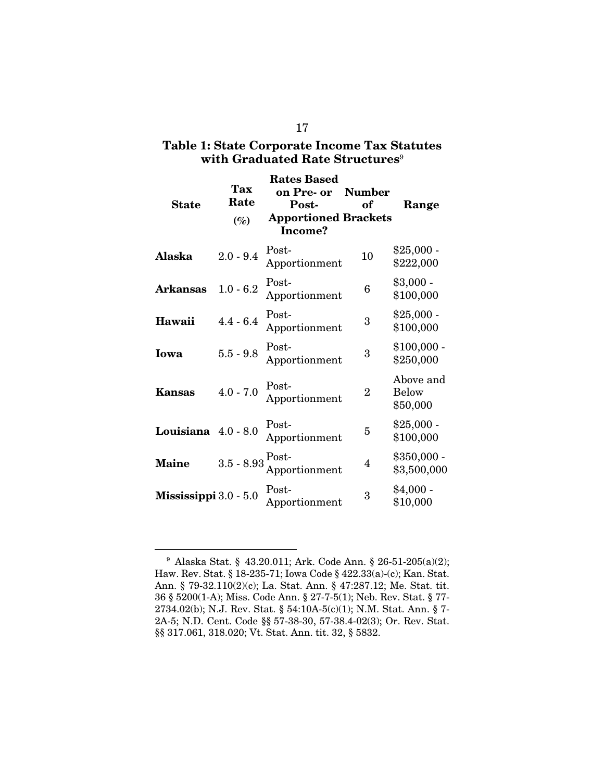# Table 1: State Corporate Income Tax Statutes with Graduated Rate Structures<sup>9</sup>

| <b>State</b>          | <b>Tax</b><br>Rate<br>$(\%)$             | <b>Rates Based</b><br>on Pre- or<br>Post-<br><b>Apportioned Brackets</b><br>Income? | <b>Number</b><br>оf | Range                                 |
|-----------------------|------------------------------------------|-------------------------------------------------------------------------------------|---------------------|---------------------------------------|
| Alaska                | $2.0 - 9.4$                              | Post-<br>Apportionment                                                              | 10                  | $$25,000 -$<br>\$222,000              |
| Arkansas              | $1.0 - 6.2$                              | Post-<br>Apportionment                                                              | 6                   | $$3,000 -$<br>\$100,000               |
| Hawaii                | $4.4 - 6.4$                              | Post-<br>Apportionment                                                              | 3                   | $$25,000 -$<br>\$100,000              |
| Iowa                  | $5.5 - 9.8$                              | Post-<br>Apportionment                                                              | 3                   | $$100,000$ -<br>\$250,000             |
| <b>Kansas</b>         | $4.0 - 7.0$                              | Post-<br>Apportionment                                                              | $\overline{2}$      | Above and<br><b>Below</b><br>\$50,000 |
| Louisiana $4.0 - 8.0$ |                                          | Post-<br>Apportionment                                                              | 5                   | $$25,000$ -<br>\$100,000              |
| <b>Maine</b>          | $3.5$ - $8.93\, \substack{\text{Post-}}$ | Apportionment                                                                       | 4                   | $$350,000 -$<br>\$3,500,000           |
| Mississippi 3.0 - 5.0 |                                          | Post-<br>Apportionment                                                              | 3                   | $$4,000-$<br>\$10,000                 |

<sup>9</sup> Alaska Stat. § 43.20.011; Ark. Code Ann. § 26-51-205(a)(2); Haw. Rev. Stat. § 18-235-71; Iowa Code § 422.33(a)-(c); Kan. Stat. Ann. § 79-32.110(2)(c); La. Stat. Ann. § 47:287.12; Me. Stat. tit. 36 § 5200(1-A); Miss. Code Ann. § 27-7-5(1); Neb. Rev. Stat. § 77- 2734.02(b); N.J. Rev. Stat. § 54:10A-5(c)(1); N.M. Stat. Ann. § 7- 2A-5; N.D. Cent. Code §§ 57-38-30, 57-38.4-02(3); Or. Rev. Stat. §§ 317.061, 318.020; Vt. Stat. Ann. tit. 32, § 5832.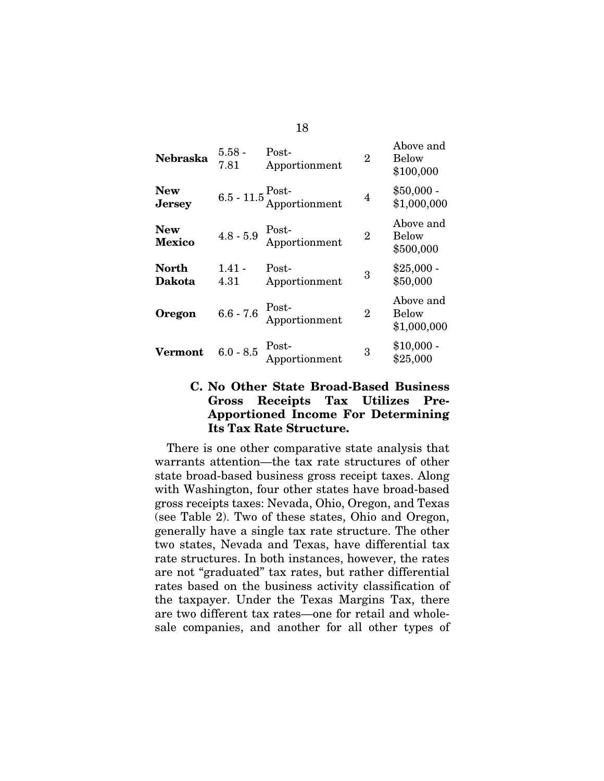| <b>Nebraska</b>             | $5.58$ -<br>7.81 | Post-<br>Apportionment                          | $\overline{2}$ | Above and<br>Below<br>\$100,000   |
|-----------------------------|------------------|-------------------------------------------------|----------------|-----------------------------------|
| <b>New</b><br><b>Jersey</b> |                  | $6.5 - 11.5 \frac{\text{Post}}{\text{Approxt}}$ | 4              | $$50,000 -$<br>\$1,000,000        |
| <b>New</b><br>Mexico        | $4.8 - 5.9$      | Post-<br>Apportionment                          | $\overline{2}$ | Above and<br>Below<br>\$500,000   |
| North<br><b>Dakota</b>      | 1.41 -<br>4.31   | Post-<br>Apportionment                          | 3              | $$25,000 -$<br>\$50,000           |
| <b>Oregon</b>               | $6.6 - 7.6$      | Post-<br>Apportionment                          | $\overline{2}$ | Above and<br>Below<br>\$1,000,000 |
| Vermont                     | $6.0 - 8.5$      | Post-<br>Apportionment                          | 3              | $$10,000$ -<br>\$25,000           |

# C. No Other State Broad-Based Business Gross Receipts Tax Utilizes Pre-Apportioned Income For Determining Its Tax Rate Structure.

There is one other comparative state analysis that warrants attention—the tax rate structures of other state broad-based business gross receipt taxes. Along with Washington, four other states have broad-based gross receipts taxes: Nevada, Ohio, Oregon, and Texas (see Table 2). Two of these states, Ohio and Oregon, generally have a single tax rate structure. The other two states, Nevada and Texas, have differential tax rate structures. In both instances, however, the rates are not "graduated" tax rates, but rather differential rates based on the business activity classification of the taxpayer. Under the Texas Margins Tax, there are two different tax rates—one for retail and wholesale companies, and another for all other types of

18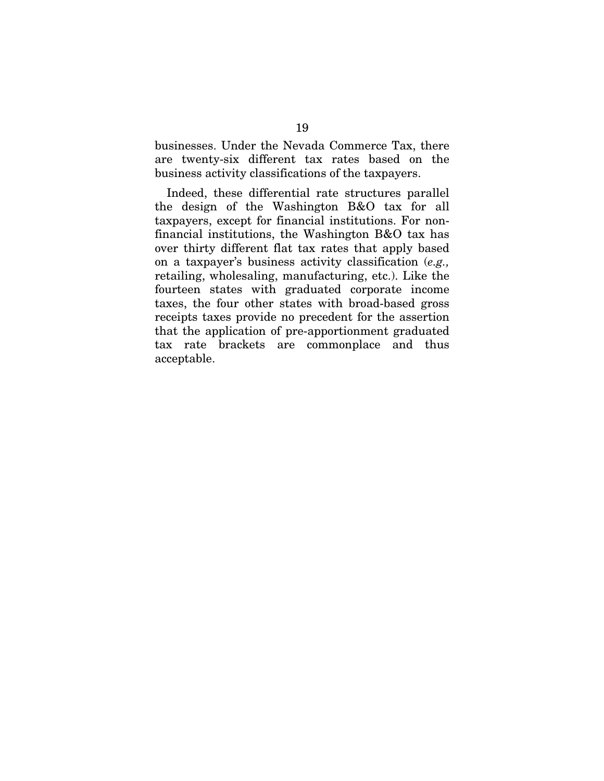businesses. Under the Nevada Commerce Tax, there are twenty-six different tax rates based on the business activity classifications of the taxpayers.

Indeed, these differential rate structures parallel the design of the Washington B&O tax for all taxpayers, except for financial institutions. For nonfinancial institutions, the Washington B&O tax has over thirty different flat tax rates that apply based on a taxpayer's business activity classification (*e.g.,* retailing, wholesaling, manufacturing, etc.). Like the fourteen states with graduated corporate income taxes, the four other states with broad-based gross receipts taxes provide no precedent for the assertion that the application of pre-apportionment graduated tax rate brackets are commonplace and thus acceptable.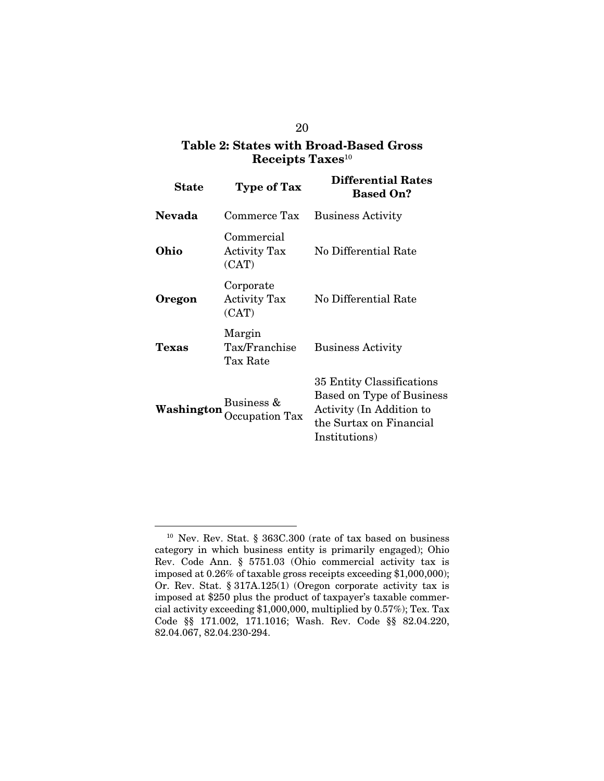# Table 2: States with Broad-Based Gross Receipts  $\text{Taxes}^{10}$

| <b>State</b>  | <b>Type of Tax</b>                         | <b>Differential Rates</b><br><b>Based On?</b>                                                                                  |  |  |
|---------------|--------------------------------------------|--------------------------------------------------------------------------------------------------------------------------------|--|--|
| <b>Nevada</b> | Commerce Tax                               | <b>Business Activity</b>                                                                                                       |  |  |
| Ohio          | Commercial<br><b>Activity Tax</b><br>(CAT) | No Differential Rate                                                                                                           |  |  |
| Oregon        | Corporate<br><b>Activity Tax</b><br>(CAT)  | No Differential Rate                                                                                                           |  |  |
| Texas         | Margin<br>Tax/Franchise<br>Tax Rate        | <b>Business Activity</b>                                                                                                       |  |  |
| Washington    | Business &<br>Occupation Tax               | 35 Entity Classifications<br>Based on Type of Business<br>Activity (In Addition to<br>the Surtax on Financial<br>Institutions) |  |  |

<sup>10</sup> Nev. Rev. Stat. § 363C.300 (rate of tax based on business category in which business entity is primarily engaged); Ohio Rev. Code Ann. § 5751.03 (Ohio commercial activity tax is imposed at 0.26% of taxable gross receipts exceeding \$1,000,000); Or. Rev. Stat. § 317A.125(1) (Oregon corporate activity tax is imposed at \$250 plus the product of taxpayer's taxable commercial activity exceeding \$1,000,000, multiplied by 0.57%); Tex. Tax Code §§ 171.002, 171.1016; Wash. Rev. Code §§ 82.04.220, 82.04.067, 82.04.230-294.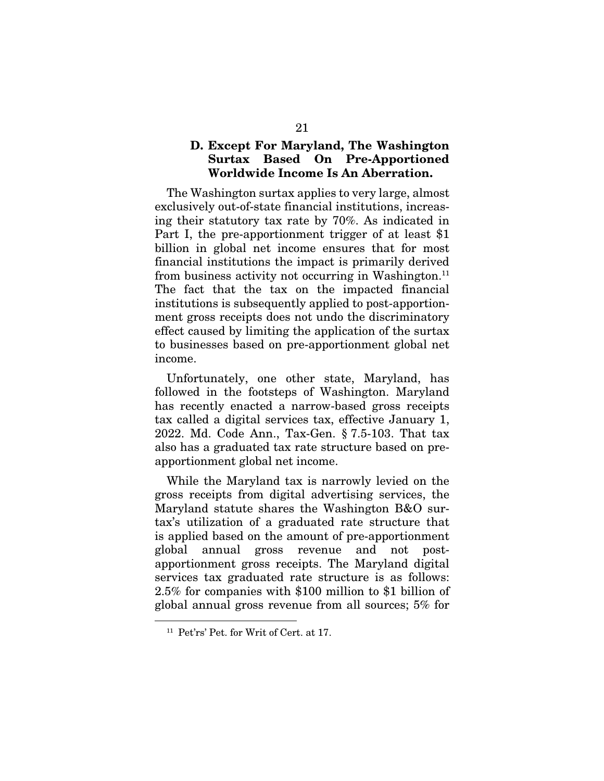### D. Except For Maryland, The Washington Surtax Based On Pre-Apportioned Worldwide Income Is An Aberration.

The Washington surtax applies to very large, almost exclusively out-of-state financial institutions, increasing their statutory tax rate by 70%. As indicated in Part I, the pre-apportionment trigger of at least \$1 billion in global net income ensures that for most financial institutions the impact is primarily derived from business activity not occurring in Washington.<sup>11</sup> The fact that the tax on the impacted financial institutions is subsequently applied to post-apportionment gross receipts does not undo the discriminatory effect caused by limiting the application of the surtax to businesses based on pre-apportionment global net income.

Unfortunately, one other state, Maryland, has followed in the footsteps of Washington. Maryland has recently enacted a narrow-based gross receipts tax called a digital services tax, effective January 1, 2022. Md. Code Ann., Tax-Gen. § 7.5-103. That tax also has a graduated tax rate structure based on preapportionment global net income.

While the Maryland tax is narrowly levied on the gross receipts from digital advertising services, the Maryland statute shares the Washington B&O surtax's utilization of a graduated rate structure that is applied based on the amount of pre-apportionment global annual gross revenue and not postapportionment gross receipts. The Maryland digital services tax graduated rate structure is as follows: 2.5% for companies with \$100 million to \$1 billion of global annual gross revenue from all sources; 5% for

<sup>11</sup> Pet'rs' Pet. for Writ of Cert. at 17.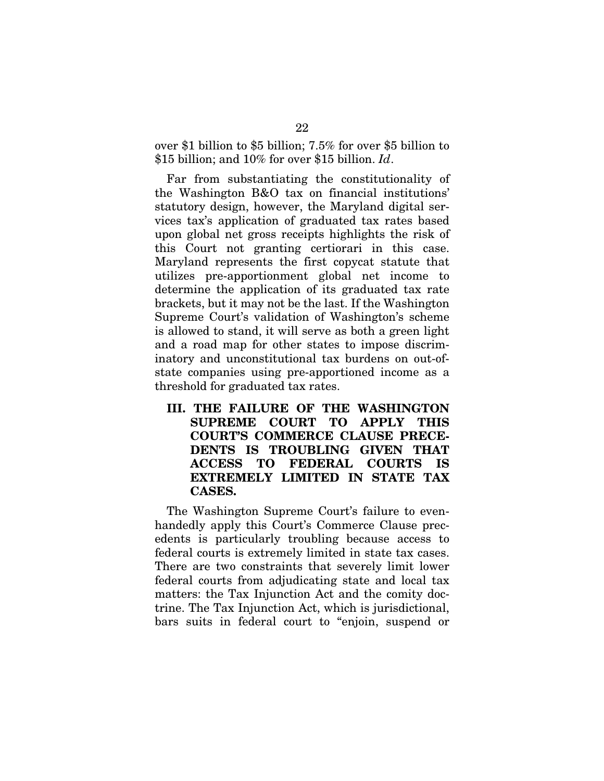over \$1 billion to \$5 billion; 7.5% for over \$5 billion to \$15 billion; and 10% for over \$15 billion. *Id*.

Far from substantiating the constitutionality of the Washington B&O tax on financial institutions' statutory design, however, the Maryland digital services tax's application of graduated tax rates based upon global net gross receipts highlights the risk of this Court not granting certiorari in this case. Maryland represents the first copycat statute that utilizes pre-apportionment global net income to determine the application of its graduated tax rate brackets, but it may not be the last. If the Washington Supreme Court's validation of Washington's scheme is allowed to stand, it will serve as both a green light and a road map for other states to impose discriminatory and unconstitutional tax burdens on out-ofstate companies using pre-apportioned income as a threshold for graduated tax rates.

III. THE FAILURE OF THE WASHINGTON SUPREME COURT TO APPLY THIS COURT'S COMMERCE CLAUSE PRECE-DENTS IS TROUBLING GIVEN THAT ACCESS TO FEDERAL COURTS IS EXTREMELY LIMITED IN STATE TAX CASES.

The Washington Supreme Court's failure to evenhandedly apply this Court's Commerce Clause precedents is particularly troubling because access to federal courts is extremely limited in state tax cases. There are two constraints that severely limit lower federal courts from adjudicating state and local tax matters: the Tax Injunction Act and the comity doctrine. The Tax Injunction Act, which is jurisdictional, bars suits in federal court to "enjoin, suspend or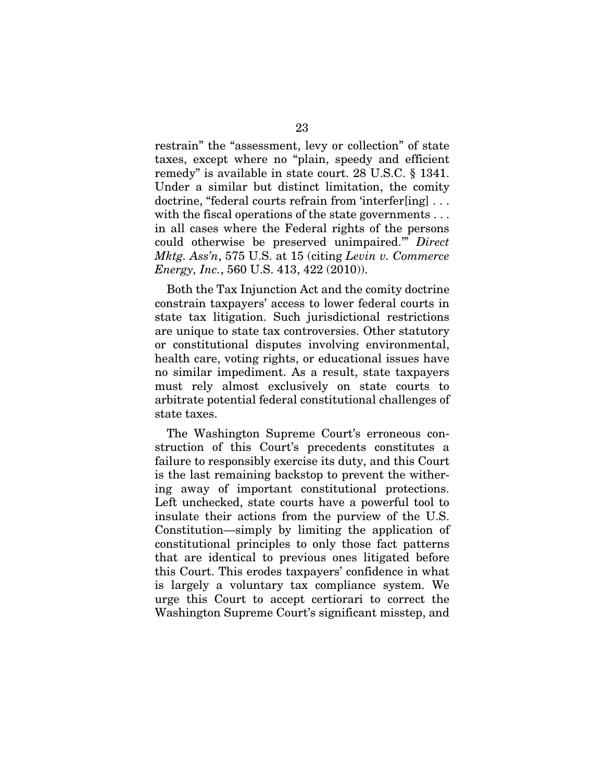restrain" the "assessment, levy or collection" of state taxes, except where no "plain, speedy and efficient remedy" is available in state court. 28 U.S.C. § 1341. Under a similar but distinct limitation, the comity doctrine, "federal courts refrain from 'interfer[ing] . . . with the fiscal operations of the state governments ... in all cases where the Federal rights of the persons could otherwise be preserved unimpaired.'" *Direct Mktg. Ass'n*, 575 U.S. at 15 (citing *Levin v. Commerce Energy, Inc.*, 560 U.S. 413, 422 (2010)).

Both the Tax Injunction Act and the comity doctrine constrain taxpayers' access to lower federal courts in state tax litigation. Such jurisdictional restrictions are unique to state tax controversies. Other statutory or constitutional disputes involving environmental, health care, voting rights, or educational issues have no similar impediment. As a result, state taxpayers must rely almost exclusively on state courts to arbitrate potential federal constitutional challenges of state taxes.

The Washington Supreme Court's erroneous construction of this Court's precedents constitutes a failure to responsibly exercise its duty, and this Court is the last remaining backstop to prevent the withering away of important constitutional protections. Left unchecked, state courts have a powerful tool to insulate their actions from the purview of the U.S. Constitution—simply by limiting the application of constitutional principles to only those fact patterns that are identical to previous ones litigated before this Court. This erodes taxpayers' confidence in what is largely a voluntary tax compliance system. We urge this Court to accept certiorari to correct the Washington Supreme Court's significant misstep, and